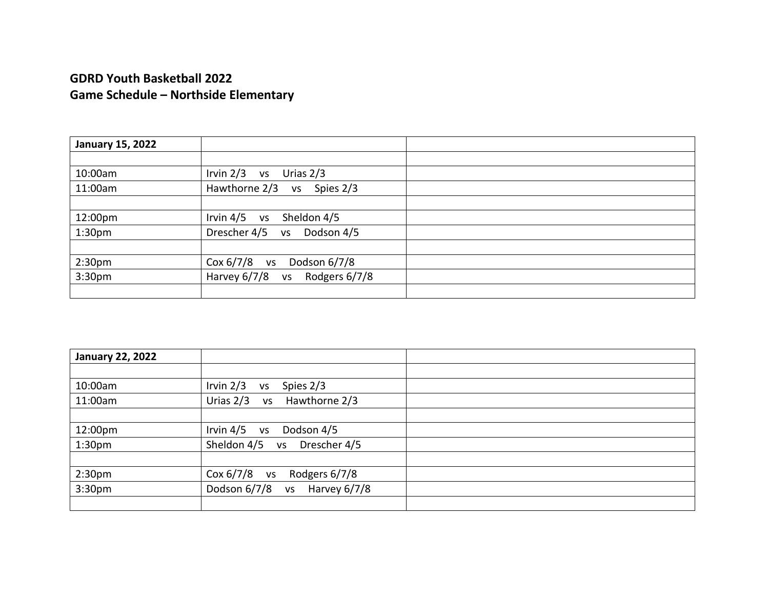| <b>January 15, 2022</b> |                                            |
|-------------------------|--------------------------------------------|
|                         |                                            |
| 10:00am                 | Irvin $2/3$<br>Urias 2/3<br><b>VS</b>      |
| 11:00am                 | Hawthorne 2/3 vs<br>Spies 2/3              |
|                         |                                            |
| 12:00pm                 | Irvin $4/5$ vs<br>Sheldon 4/5              |
| 1:30 <sub>pm</sub>      | Drescher 4/5<br>Dodson 4/5<br><b>VS</b>    |
|                         |                                            |
| 2:30 <sub>pm</sub>      | $Cox 6/7/8$ vs<br>Dodson 6/7/8             |
| 3:30 <sub>pm</sub>      | Harvey 6/7/8<br>Rodgers 6/7/8<br><b>VS</b> |
|                         |                                            |

| <b>January 22, 2022</b> |                                           |
|-------------------------|-------------------------------------------|
|                         |                                           |
| 10:00am                 | Irvin $2/3$<br>Spies 2/3<br><b>VS</b>     |
| 11:00am                 | Urias $2/3$<br>Hawthorne 2/3<br><b>VS</b> |
|                         |                                           |
| 12:00pm                 | Irvin $4/5$<br>Dodson 4/5<br>VS           |
| 1:30 <sub>pm</sub>      | Sheldon 4/5<br>Drescher 4/5<br><b>VS</b>  |
|                         |                                           |
| 2:30 <sub>pm</sub>      | $Cox 6/7/8$ vs<br>Rodgers 6/7/8           |
| 3:30 <sub>pm</sub>      | Dodson 6/7/8<br>Harvey 6/7/8<br><b>VS</b> |
|                         |                                           |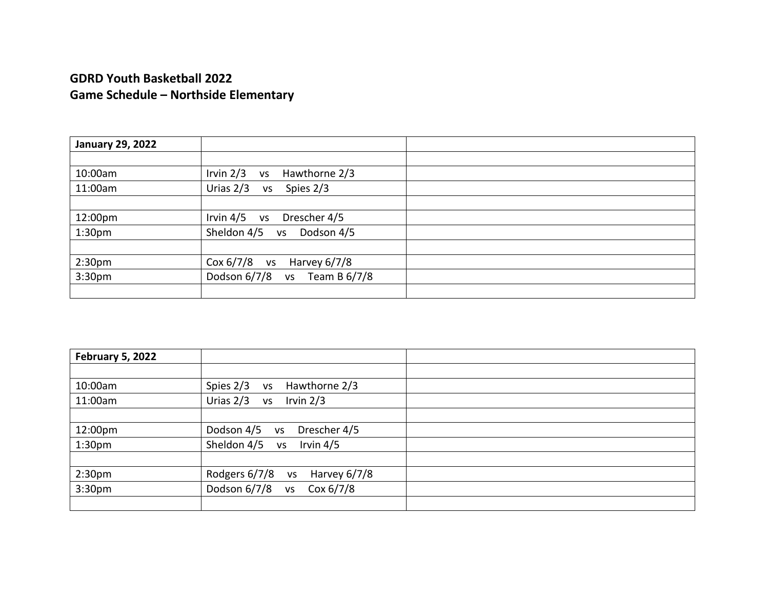| <b>January 29, 2022</b> |                                           |
|-------------------------|-------------------------------------------|
|                         |                                           |
| 10:00am                 | Irvin $2/3$<br>Hawthorne 2/3<br><b>VS</b> |
| 11:00am                 | Urias $2/3$<br>Spies 2/3<br><b>VS</b>     |
|                         |                                           |
| 12:00pm                 | Drescher 4/5<br>Irvin $4/5$ vs            |
| 1:30 <sub>pm</sub>      | Sheldon 4/5<br>Dodson 4/5<br><b>VS</b>    |
|                         |                                           |
| 2:30pm                  | $Cox 6/7/8$ vs<br>Harvey 6/7/8            |
| 3:30 <sub>pm</sub>      | Dodson 6/7/8<br>Team B 6/7/8<br><b>VS</b> |
|                         |                                           |

| February 5, 2022   |                                            |
|--------------------|--------------------------------------------|
|                    |                                            |
| 10:00am            | Spies 2/3<br>Hawthorne 2/3<br>VS           |
| 11:00am            | Urias $2/3$<br>Irvin $2/3$<br><b>VS</b>    |
|                    |                                            |
| 12:00pm            | Dodson 4/5<br>Drescher 4/5<br>VS           |
| 1:30 <sub>pm</sub> | Sheldon 4/5<br>Irvin $4/5$<br><b>VS</b>    |
|                    |                                            |
| 2:30 <sub>pm</sub> | Rodgers 6/7/8<br>Harvey 6/7/8<br><b>VS</b> |
| 3:30 <sub>pm</sub> | Dodson 6/7/8<br>Cox $6/7/8$<br><b>VS</b>   |
|                    |                                            |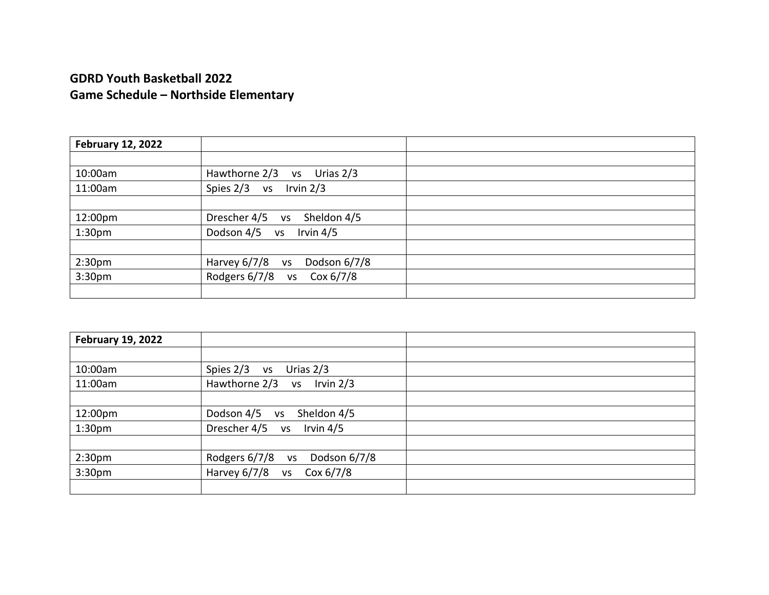| <b>February 12, 2022</b> |                                           |
|--------------------------|-------------------------------------------|
|                          |                                           |
| 10:00am                  | Hawthorne 2/3<br>Urias $2/3$<br><b>VS</b> |
| 11:00am                  | Spies $2/3$<br>Irvin $2/3$<br><b>VS</b>   |
|                          |                                           |
| 12:00pm                  | Drescher 4/5<br>Sheldon 4/5<br><b>VS</b>  |
| 1:30 <sub>pm</sub>       | Dodson 4/5 vs<br>Irvin $4/5$              |
|                          |                                           |
| 2:30pm                   | Harvey $6/7/8$ vs<br>Dodson 6/7/8         |
| 3:30 <sub>pm</sub>       | Rodgers 6/7/8<br>Cox $6/7/8$<br><b>VS</b> |
|                          |                                           |

| <b>February 19, 2022</b> |                                            |
|--------------------------|--------------------------------------------|
|                          |                                            |
| 10:00am                  | Spies 2/3<br>Urias 2/3<br><b>VS</b>        |
| 11:00am                  | Hawthorne $2/3$ vs Irvin $2/3$             |
|                          |                                            |
| 12:00pm                  | Dodson 4/5<br>Sheldon 4/5<br><b>VS</b>     |
| 1:30 <sub>pm</sub>       | Drescher 4/5 vs Irvin 4/5                  |
|                          |                                            |
| 2:30 <sub>pm</sub>       | Dodson 6/7/8<br>Rodgers 6/7/8<br><b>VS</b> |
| 3:30pm                   | Harvey $6/7/8$ vs<br>Cox 6/7/8             |
|                          |                                            |